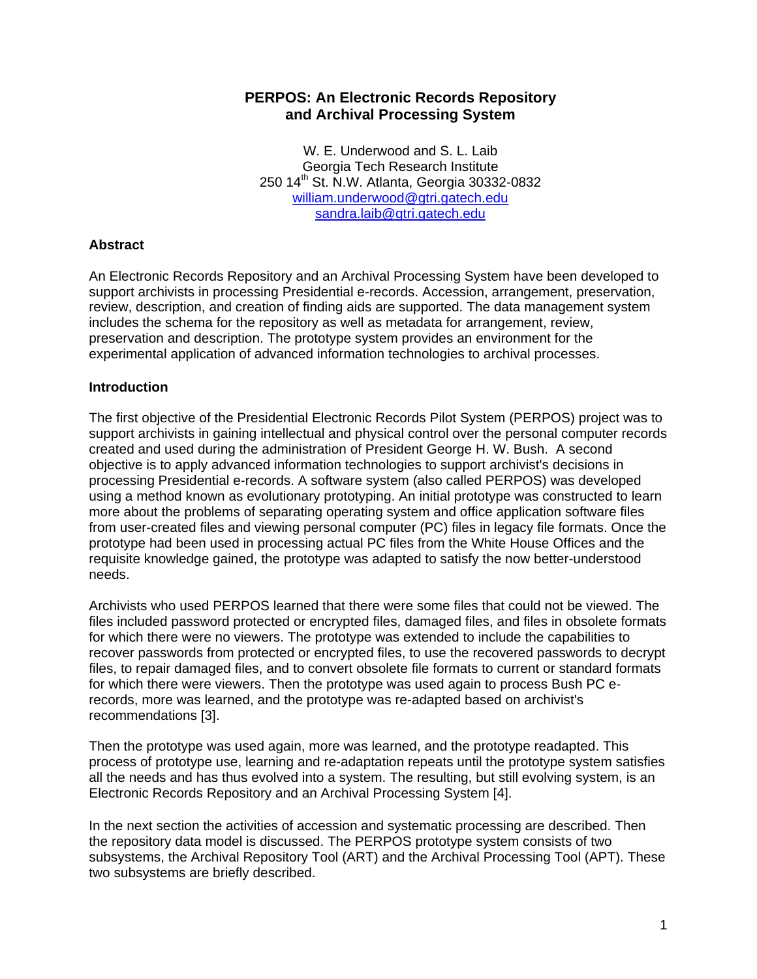#### **PERPOS: An Electronic Records Repository and Archival Processing System**

W. E. Underwood and S. L. Laib Georgia Tech Research Institute 250 14th St. N.W. Atlanta, Georgia 30332-0832 [william.underwood@gtri.gatech.edu](mailto:william.underwood@gtri.gatech.edu) [sandra.laib@gtri.gatech.edu](mailto:sandra.laib@gtri.gatech.edu)

#### **Abstract**

An Electronic Records Repository and an Archival Processing System have been developed to support archivists in processing Presidential e-records. Accession, arrangement, preservation, review, description, and creation of finding aids are supported. The data management system includes the schema for the repository as well as metadata for arrangement, review, preservation and description. The prototype system provides an environment for the experimental application of advanced information technologies to archival processes.

#### **Introduction**

The first objective of the Presidential Electronic Records Pilot System (PERPOS) project was to support archivists in gaining intellectual and physical control over the personal computer records created and used during the administration of President George H. W. Bush. A second objective is to apply advanced information technologies to support archivist's decisions in processing Presidential e-records. A software system (also called PERPOS) was developed using a method known as evolutionary prototyping. An initial prototype was constructed to learn more about the problems of separating operating system and office application software files from user-created files and viewing personal computer (PC) files in legacy file formats. Once the prototype had been used in processing actual PC files from the White House Offices and the requisite knowledge gained, the prototype was adapted to satisfy the now better-understood needs.

Archivists who used PERPOS learned that there were some files that could not be viewed. The files included password protected or encrypted files, damaged files, and files in obsolete formats for which there were no viewers. The prototype was extended to include the capabilities to recover passwords from protected or encrypted files, to use the recovered passwords to decrypt files, to repair damaged files, and to convert obsolete file formats to current or standard formats for which there were viewers. Then the prototype was used again to process Bush PC erecords, more was learned, and the prototype was re-adapted based on archivist's recommendations [3].

Then the prototype was used again, more was learned, and the prototype readapted. This process of prototype use, learning and re-adaptation repeats until the prototype system satisfies all the needs and has thus evolved into a system. The resulting, but still evolving system, is an Electronic Records Repository and an Archival Processing System [4].

In the next section the activities of accession and systematic processing are described. Then the repository data model is discussed. The PERPOS prototype system consists of two subsystems, the Archival Repository Tool (ART) and the Archival Processing Tool (APT). These two subsystems are briefly described.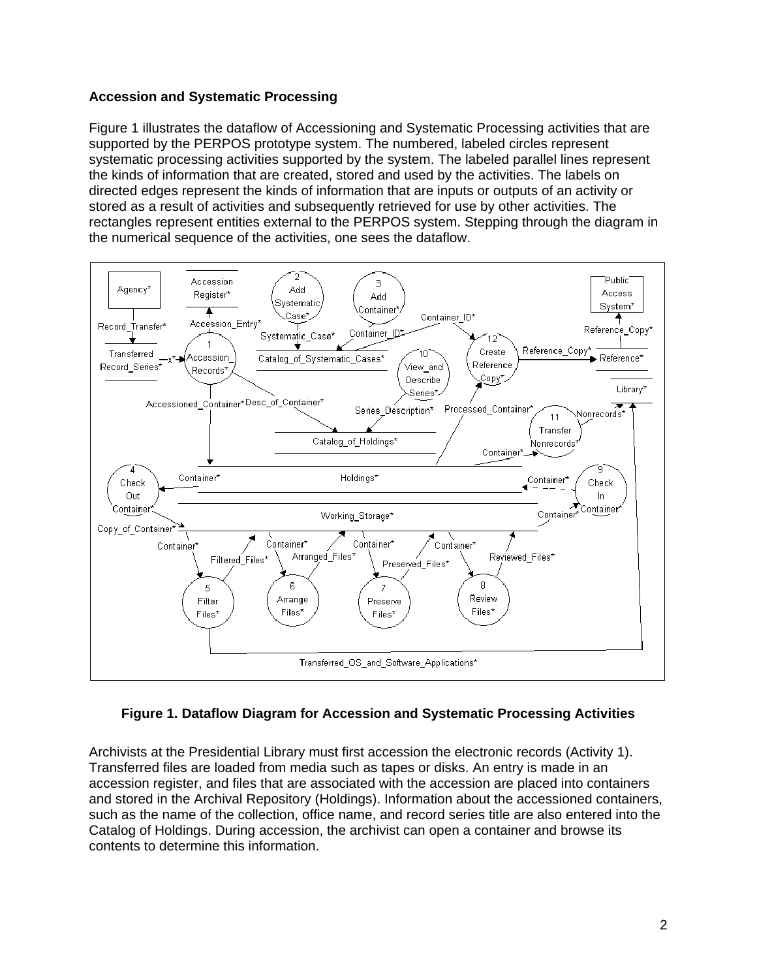#### **Accession and Systematic Processing**

Figure 1 illustrates the dataflow of Accessioning and Systematic Processing activities that are supported by the PERPOS prototype system. The numbered, labeled circles represent systematic processing activities supported by the system. The labeled parallel lines represent the kinds of information that are created, stored and used by the activities. The labels on directed edges represent the kinds of information that are inputs or outputs of an activity or stored as a result of activities and subsequently retrieved for use by other activities. The rectangles represent entities external to the PERPOS system. Stepping through the diagram in the numerical sequence of the activities, one sees the dataflow.



# **Figure 1. Dataflow Diagram for Accession and Systematic Processing Activities**

Archivists at the Presidential Library must first accession the electronic records (Activity 1). Transferred files are loaded from media such as tapes or disks. An entry is made in an accession register, and files that are associated with the accession are placed into containers and stored in the Archival Repository (Holdings). Information about the accessioned containers, such as the name of the collection, office name, and record series title are also entered into the Catalog of Holdings. During accession, the archivist can open a container and browse its contents to determine this information.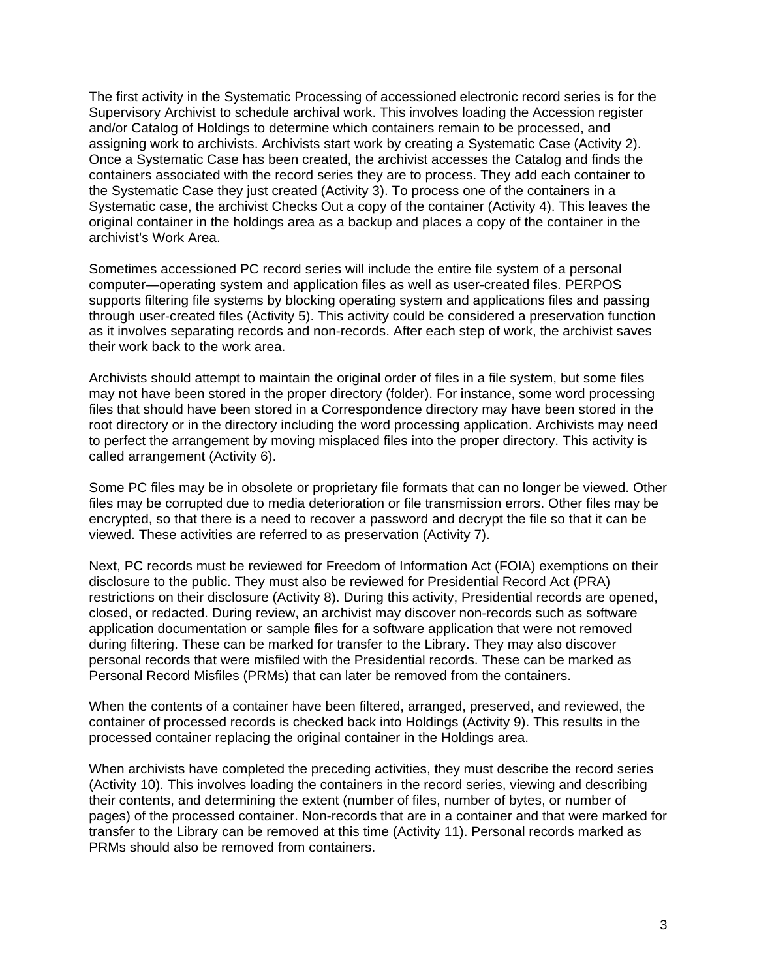The first activity in the Systematic Processing of accessioned electronic record series is for the Supervisory Archivist to schedule archival work. This involves loading the Accession register and/or Catalog of Holdings to determine which containers remain to be processed, and assigning work to archivists. Archivists start work by creating a Systematic Case (Activity 2). Once a Systematic Case has been created, the archivist accesses the Catalog and finds the containers associated with the record series they are to process. They add each container to the Systematic Case they just created (Activity 3). To process one of the containers in a Systematic case, the archivist Checks Out a copy of the container (Activity 4). This leaves the original container in the holdings area as a backup and places a copy of the container in the archivist's Work Area.

Sometimes accessioned PC record series will include the entire file system of a personal computer—operating system and application files as well as user-created files. PERPOS supports filtering file systems by blocking operating system and applications files and passing through user-created files (Activity 5). This activity could be considered a preservation function as it involves separating records and non-records. After each step of work, the archivist saves their work back to the work area.

Archivists should attempt to maintain the original order of files in a file system, but some files may not have been stored in the proper directory (folder). For instance, some word processing files that should have been stored in a Correspondence directory may have been stored in the root directory or in the directory including the word processing application. Archivists may need to perfect the arrangement by moving misplaced files into the proper directory. This activity is called arrangement (Activity 6).

Some PC files may be in obsolete or proprietary file formats that can no longer be viewed. Other files may be corrupted due to media deterioration or file transmission errors. Other files may be encrypted, so that there is a need to recover a password and decrypt the file so that it can be viewed. These activities are referred to as preservation (Activity 7).

Next, PC records must be reviewed for Freedom of Information Act (FOIA) exemptions on their disclosure to the public. They must also be reviewed for Presidential Record Act (PRA) restrictions on their disclosure (Activity 8). During this activity, Presidential records are opened, closed, or redacted. During review, an archivist may discover non-records such as software application documentation or sample files for a software application that were not removed during filtering. These can be marked for transfer to the Library. They may also discover personal records that were misfiled with the Presidential records. These can be marked as Personal Record Misfiles (PRMs) that can later be removed from the containers.

When the contents of a container have been filtered, arranged, preserved, and reviewed, the container of processed records is checked back into Holdings (Activity 9). This results in the processed container replacing the original container in the Holdings area.

When archivists have completed the preceding activities, they must describe the record series (Activity 10). This involves loading the containers in the record series, viewing and describing their contents, and determining the extent (number of files, number of bytes, or number of pages) of the processed container. Non-records that are in a container and that were marked for transfer to the Library can be removed at this time (Activity 11). Personal records marked as PRMs should also be removed from containers.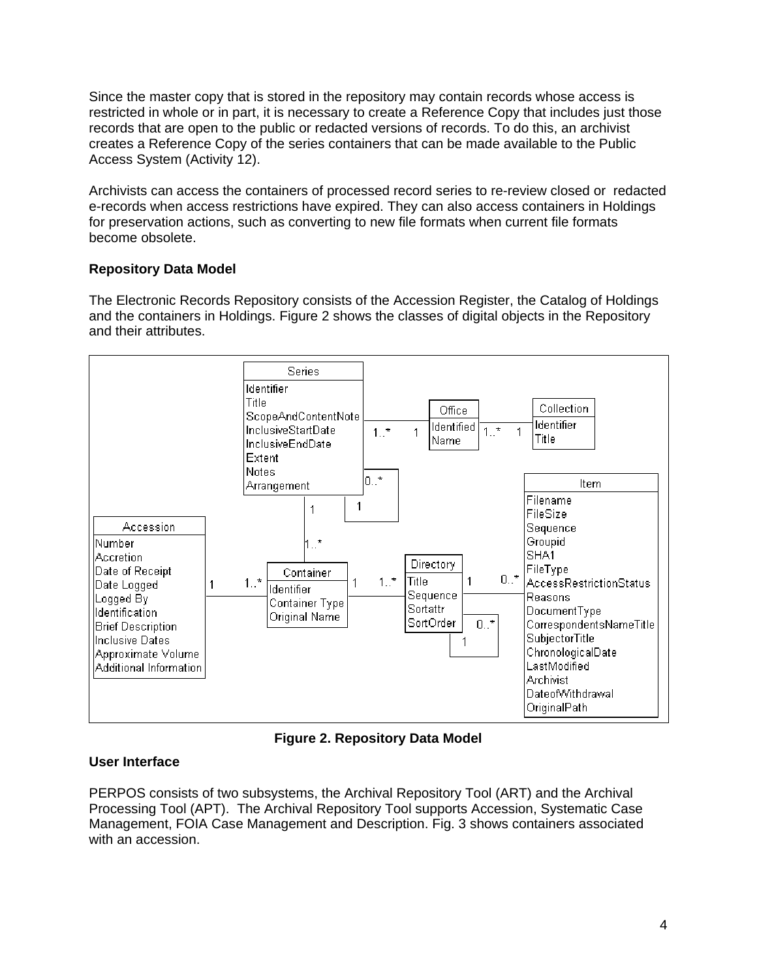Since the master copy that is stored in the repository may contain records whose access is restricted in whole or in part, it is necessary to create a Reference Copy that includes just those records that are open to the public or redacted versions of records. To do this, an archivist creates a Reference Copy of the series containers that can be made available to the Public Access System (Activity 12).

Archivists can access the containers of processed record series to re-review closed or redacted e-records when access restrictions have expired. They can also access containers in Holdings for preservation actions, such as converting to new file formats when current file formats become obsolete.

# **Repository Data Model**

The Electronic Records Repository consists of the Accession Register, the Catalog of Holdings and the containers in Holdings. Figure 2 shows the classes of digital objects in the Repository and their attributes.



**Figure 2. Repository Data Model** 

# **User Interface**

PERPOS consists of two subsystems, the Archival Repository Tool (ART) and the Archival Processing Tool (APT). The Archival Repository Tool supports Accession, Systematic Case Management, FOIA Case Management and Description. Fig. 3 shows containers associated with an accession.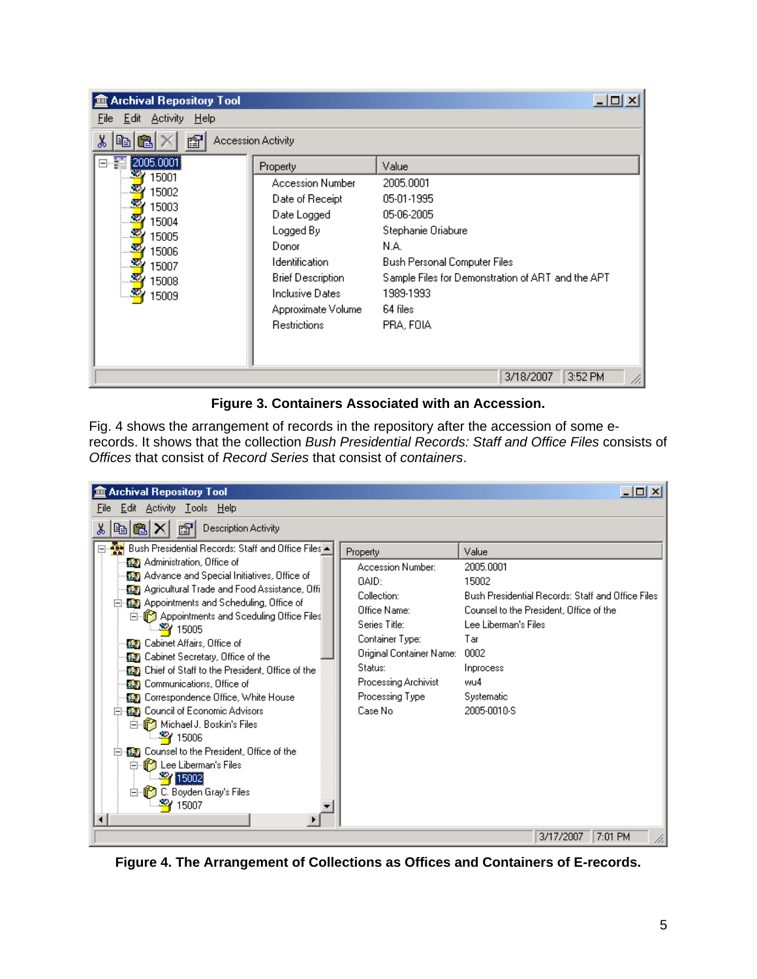| <b>Archival Repository Tool</b><br>$- \Box $ |                          |                                                   |  |  |
|----------------------------------------------|--------------------------|---------------------------------------------------|--|--|
| Edit Activity Help<br>File                   |                          |                                                   |  |  |
| <b>Accession Activity</b><br>ð<br>ëÐ         |                          |                                                   |  |  |
| 2005.0001<br>F                               | Property                 | Value                                             |  |  |
| 15001                                        | <b>Accession Number</b>  | 2005.0001                                         |  |  |
| 15002<br>15003                               | Date of Receipt          | 05-01-1995                                        |  |  |
| 15004<br>15005                               | Date Logged              | 05-06-2005                                        |  |  |
|                                              | Logged By                | Stephanie Oriabure                                |  |  |
| ÷<br>15006                                   | Donor                    | N.A.                                              |  |  |
| 15007                                        | <b>Identification</b>    | Bush Personal Computer Files                      |  |  |
| 15008                                        | <b>Brief Description</b> | Sample Files for Demonstration of ART and the APT |  |  |
| 15009                                        | Inclusive Dates          | 1989-1993                                         |  |  |
|                                              | Approximate Volume       | 64 files                                          |  |  |
|                                              | <b>Restrictions</b>      | PRA, FOIA                                         |  |  |
|                                              |                          |                                                   |  |  |
|                                              |                          |                                                   |  |  |
|                                              |                          | 3/18/2007<br>3:52 PM                              |  |  |

**Figure 3. Containers Associated with an Accession.** 

Fig. 4 shows the arrangement of records in the repository after the accession of some erecords. It shows that the collection *Bush Presidential Records: Staff and Office Files* consists of *Offices* that consist of *Record Series* that consist of *containers*.

| <b>Archival Repository Tool</b>                                                                                                                                                                                                                                                                                                                                                                                                                                                                                                                                                                                                                                                                                                                                                                                                        |                                                                                                                                                                                                        | $-1$ $-1$ $\times$ $-1$                                                                                                                                                                                             |
|----------------------------------------------------------------------------------------------------------------------------------------------------------------------------------------------------------------------------------------------------------------------------------------------------------------------------------------------------------------------------------------------------------------------------------------------------------------------------------------------------------------------------------------------------------------------------------------------------------------------------------------------------------------------------------------------------------------------------------------------------------------------------------------------------------------------------------------|--------------------------------------------------------------------------------------------------------------------------------------------------------------------------------------------------------|---------------------------------------------------------------------------------------------------------------------------------------------------------------------------------------------------------------------|
| Edit Activity Tools Help<br>File                                                                                                                                                                                                                                                                                                                                                                                                                                                                                                                                                                                                                                                                                                                                                                                                       |                                                                                                                                                                                                        |                                                                                                                                                                                                                     |
| Description Activity<br>f1<br>ö<br>喞                                                                                                                                                                                                                                                                                                                                                                                                                                                                                                                                                                                                                                                                                                                                                                                                   |                                                                                                                                                                                                        |                                                                                                                                                                                                                     |
| ⊟ 2018 Bush Presidential Records: Staff and Office Files<br><b>GE</b> Administration, Office of<br><b>(25)</b> Advance and Special Initiatives, Office of<br>(G) Agricultural Trade and Food Assistance, Offi<br>優別 Appointments and Scheduling, Office of<br>⊟…∭ Appointments and Sceduling Office Files<br>– <mark>-≊r</mark> 15005<br><b>OF</b> Cabinet Affairs, Office of<br><b>BE</b> Cabinet Secretary, Office of the<br><b>DEE</b> Chief of Staff to the President, Office of the<br><b>On Communications, Office of</b><br>(G) Correspondence Office, White House<br><b>Contact Operator</b> Council of Economic Advisors<br>白 S Michael J. Boskin's Files<br>— ¥¥ 15006<br><b>優秀 Counsel to the President, Office of the</b><br>⊟ for the Liberman's Files<br><b>27</b> 15002<br>C. Boyden Gray's Files<br>-11<br>Fŀ<br>15007 | Property<br>Accession Number:<br>DAID:<br>Collection:<br>Office Name:<br>Series Title:<br>Container Type:<br>Original Container Name:<br>Status:<br>Processing Archivist<br>Processing Type<br>Case No | Value<br>2005.0001<br>15002<br>Bush Presidential Records: Staff and Office Files<br>Counsel to the President, Office of the<br>Lee Liberman's Files<br>Tar<br>0002<br>Inprocess<br>wu4<br>Systematic<br>2005-0010-S |
|                                                                                                                                                                                                                                                                                                                                                                                                                                                                                                                                                                                                                                                                                                                                                                                                                                        |                                                                                                                                                                                                        | 7:01 PM<br>3/17/2007                                                                                                                                                                                                |

**Figure 4. The Arrangement of Collections as Offices and Containers of E-records.**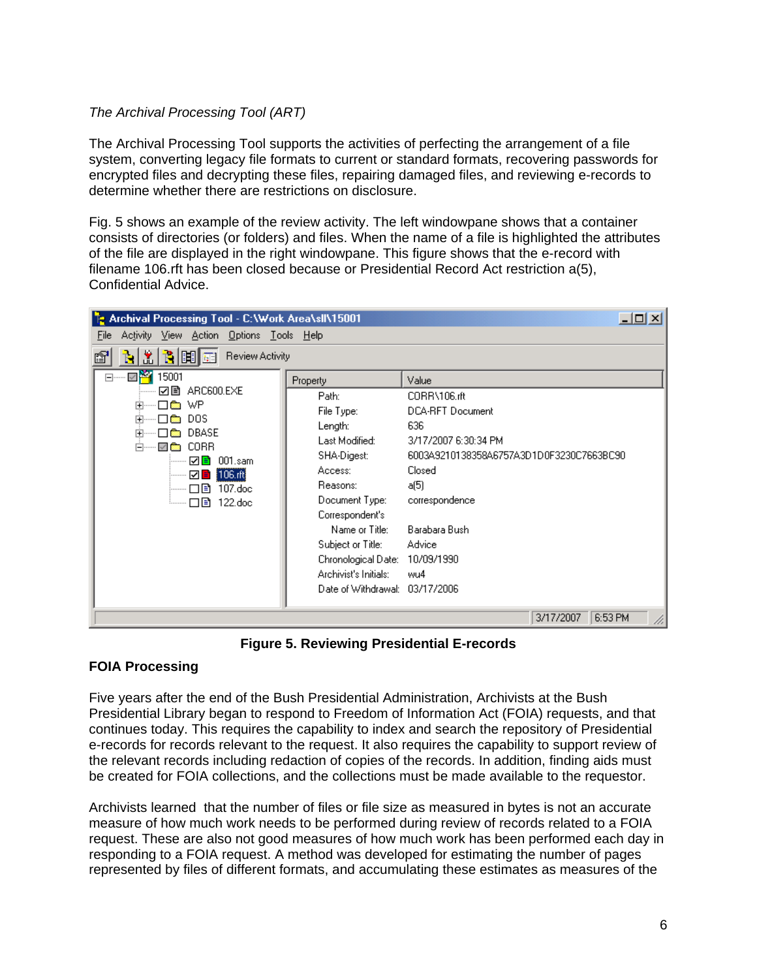#### *The Archival Processing Tool (ART)*

The Archival Processing Tool supports the activities of perfecting the arrangement of a file system, converting legacy file formats to current or standard formats, recovering passwords for encrypted files and decrypting these files, repairing damaged files, and reviewing e-records to determine whether there are restrictions on disclosure.

Fig. 5 shows an example of the review activity. The left windowpane shows that a container consists of directories (or folders) and files. When the name of a file is highlighted the attributes of the file are displayed in the right windowpane. This figure shows that the e-record with filename 106.rft has been closed because or Presidential Record Act restriction a(5), Confidential Advice.

| $\Box$ u $\times$<br><b>P</b> Archival Processing Tool - C:\Work Area\s  \15001                                                                                                                                                                       |                                                                                                                                  |                                                                                 |  |  |
|-------------------------------------------------------------------------------------------------------------------------------------------------------------------------------------------------------------------------------------------------------|----------------------------------------------------------------------------------------------------------------------------------|---------------------------------------------------------------------------------|--|--|
| Activity View Action Options Tools Help<br>File                                                                                                                                                                                                       |                                                                                                                                  |                                                                                 |  |  |
| 飞间面<br>盖<br>Review Activity<br>ъ1<br>ė,                                                                                                                                                                                                               |                                                                                                                                  |                                                                                 |  |  |
| d… Ø <mark>¥</mark><br>15001<br>☑ ARC600.EXE<br>l® WP<br>ஈ<br>DOS.<br><b>+</b><br><b>Research</b><br>DBASE<br><b>+</b><br><b>STORY</b><br>CORR<br>⊟…… V <b>©</b><br>√ ≡<br>$001$ .sam<br><br>106.rft<br>------- □ E`<br>$107$ .doc<br>└── □ ③ 122.doc | Property<br>Path:<br>File Type:<br>Length:<br>Last Modified:                                                                     | Value<br>CORR\106.rft<br><b>DCA-RFT Document</b><br>636<br>3/17/2007 6:30:34 PM |  |  |
|                                                                                                                                                                                                                                                       | SHA-Digest:<br>Access:<br>Reasons:<br>Document Type:<br>Correspondent's                                                          | 6003A9210138358A6757A3D1D0F3230C7663BC90<br>Closed<br>a(5)<br>correspondence    |  |  |
|                                                                                                                                                                                                                                                       | Name or Title:<br>Subject or Title:<br>Chronological Date: 10/09/1990<br>Archivist's Initials:<br>Date of Withdrawal: 03/17/2006 | Barabara Bush<br>Advice<br>wu4                                                  |  |  |
| 3/17/2007<br>6:53 PM<br>D.                                                                                                                                                                                                                            |                                                                                                                                  |                                                                                 |  |  |

**Figure 5. Reviewing Presidential E-records** 

# **FOIA Processing**

Five years after the end of the Bush Presidential Administration, Archivists at the Bush Presidential Library began to respond to Freedom of Information Act (FOIA) requests, and that continues today. This requires the capability to index and search the repository of Presidential e-records for records relevant to the request. It also requires the capability to support review of the relevant records including redaction of copies of the records. In addition, finding aids must be created for FOIA collections, and the collections must be made available to the requestor.

Archivists learned that the number of files or file size as measured in bytes is not an accurate measure of how much work needs to be performed during review of records related to a FOIA request. These are also not good measures of how much work has been performed each day in responding to a FOIA request. A method was developed for estimating the number of pages represented by files of different formats, and accumulating these estimates as measures of the